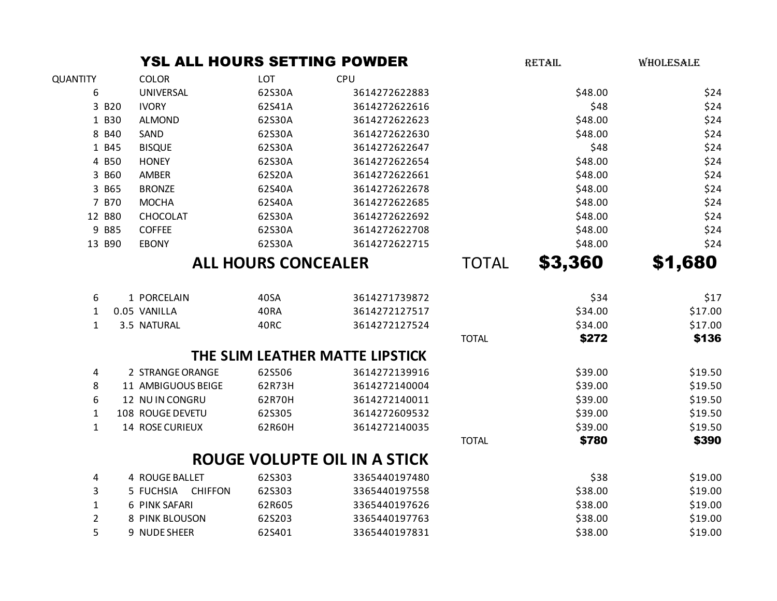|                 |        | YSL ALL HOURS SETTING POWDER |                            |                                     |              | <b>RETAIL</b> | WHOLESALE |
|-----------------|--------|------------------------------|----------------------------|-------------------------------------|--------------|---------------|-----------|
| <b>QUANTITY</b> |        | <b>COLOR</b>                 | LOT                        | CPU                                 |              |               |           |
| 6               |        | UNIVERSAL                    | 62S30A                     | 3614272622883                       |              | \$48.00       | \$24      |
|                 | 3 B20  | <b>IVORY</b>                 | 62S41A                     | 3614272622616                       |              | \$48          | \$24      |
|                 | 1 B30  | <b>ALMOND</b>                | 62S30A                     | 3614272622623                       |              | \$48.00       | \$24      |
|                 | 8 B40  | SAND                         | 62S30A                     | 3614272622630                       |              | \$48.00       | \$24      |
|                 | 1 B45  | <b>BISQUE</b>                | 62S30A                     | 3614272622647                       |              | \$48          | \$24      |
|                 | 4 B50  | <b>HONEY</b>                 | 62S30A                     | 3614272622654                       |              | \$48.00       | \$24      |
|                 | 3 B60  | AMBER                        | 62S20A                     | 3614272622661                       |              | \$48.00       | \$24      |
|                 | 3 B65  | <b>BRONZE</b>                | 62S40A                     | 3614272622678                       |              | \$48.00       | \$24      |
|                 | 7 B70  | <b>MOCHA</b>                 | 62S40A                     | 3614272622685                       |              | \$48.00       | \$24      |
|                 | 12 B80 | CHOCOLAT                     | 62S30A                     | 3614272622692                       |              | \$48.00       | \$24      |
|                 | 9 B85  | <b>COFFEE</b>                | 62S30A                     | 3614272622708                       |              | \$48.00       | \$24      |
|                 | 13 B90 | <b>EBONY</b>                 | 62S30A                     | 3614272622715                       |              | \$48.00       | \$24      |
|                 |        |                              | <b>ALL HOURS CONCEALER</b> |                                     | <b>TOTAL</b> | \$3,360       | \$1,680   |
|                 |        |                              |                            |                                     |              |               |           |
| 6               |        | 1 PORCELAIN                  | 40SA                       | 3614271739872                       |              | \$34          | \$17      |
| 1               |        | 0.05 VANILLA                 | 40RA                       | 3614272127517                       |              | \$34.00       | \$17.00   |
| $\mathbf{1}$    |        | 3.5 NATURAL                  | 40RC                       | 3614272127524                       |              | \$34.00       | \$17.00   |
|                 |        |                              |                            |                                     | <b>TOTAL</b> | \$272         | \$136     |
|                 |        |                              |                            | THE SLIM LEATHER MATTE LIPSTICK     |              |               |           |
| 4               |        | 2 STRANGE ORANGE             | 62S506                     | 3614272139916                       |              | \$39.00       | \$19.50   |
| 8               |        | 11 AMBIGUOUS BEIGE           | 62R73H                     | 3614272140004                       |              | \$39.00       | \$19.50   |
| 6               |        | 12 NUIN CONGRU               | 62R70H                     | 3614272140011                       |              | \$39.00       | \$19.50   |
| $\mathbf{1}$    |        | 108 ROUGE DEVETU             | 62S305                     | 3614272609532                       |              | \$39.00       | \$19.50   |
| $\mathbf{1}$    |        | 14 ROSE CURIEUX              | 62R60H                     | 3614272140035                       |              | \$39.00       | \$19.50   |
|                 |        |                              |                            |                                     | <b>TOTAL</b> | \$780         | \$390     |
|                 |        |                              |                            | <b>ROUGE VOLUPTE OIL IN A STICK</b> |              |               |           |
| 4               |        | 4 ROUGE BALLET               | 62S303                     | 3365440197480                       |              | \$38          | \$19.00   |
| 3               |        | 5 FUCHSIA<br><b>CHIFFON</b>  | 62S303                     | 3365440197558                       |              | \$38.00       | \$19.00   |
| $\mathbf{1}$    |        | 6 PINK SAFARI                | 62R605                     | 3365440197626                       |              | \$38.00       | \$19.00   |
| $\overline{2}$  |        | 8 PINK BLOUSON               | 62S203                     | 3365440197763                       |              | \$38.00       | \$19.00   |
| 5               |        | 9 NUDE SHEER                 | 62S401                     | 3365440197831                       |              | \$38.00       | \$19.00   |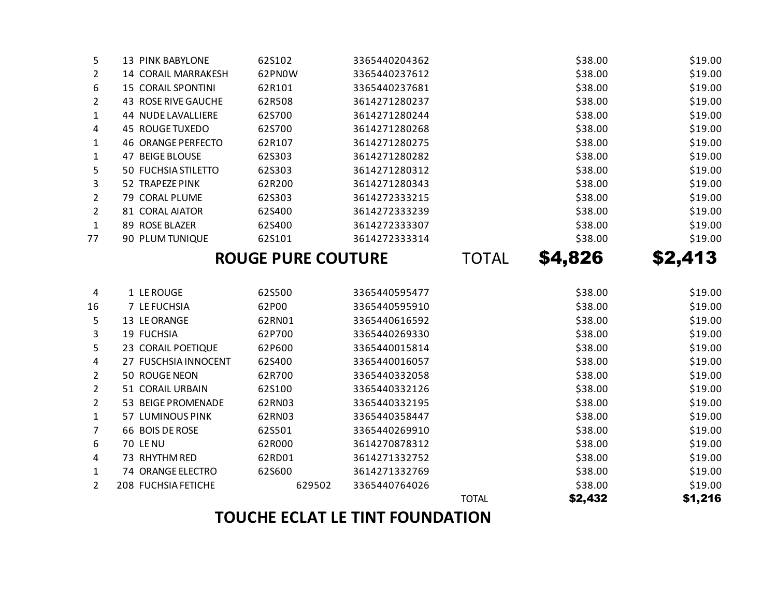# **TOUCHE ECLAT LE TINT FOUNDATION**

|                |                            |        |               |              | — - <sub>7</sub> – | <u>– – J</u> |
|----------------|----------------------------|--------|---------------|--------------|--------------------|--------------|
| 4              | 1 LE ROUGE                 | 62S500 | 3365440595477 |              | \$38.00            | \$19.00      |
| 16             | 7 LE FUCHSIA               | 62P00  | 3365440595910 |              | \$38.00            | \$19.00      |
| 5              | 13 LE ORANGE               | 62RN01 | 3365440616592 |              | \$38.00            | \$19.00      |
| 3              | 19 FUCHSIA                 | 62P700 | 3365440269330 |              | \$38.00            | \$19.00      |
| 5.             | 23 CORAIL POETIQUE         | 62P600 | 3365440015814 |              | \$38.00            | \$19.00      |
| 4              | 27 FUSCHSIA INNOCENT       | 62S400 | 3365440016057 |              | \$38.00            | \$19.00      |
| $\overline{2}$ | 50 ROUGE NEON              | 62R700 | 3365440332058 |              | \$38.00            | \$19.00      |
| 2              | 51 CORAIL URBAIN           | 62S100 | 3365440332126 |              | \$38.00            | \$19.00      |
| $\overline{2}$ | 53 BEIGE PROMENADE         | 62RN03 | 3365440332195 |              | \$38.00            | \$19.00      |
| 1              | 57 LUMINOUS PINK           | 62RN03 | 3365440358447 |              | \$38.00            | \$19.00      |
| 7              | 66 BOIS DE ROSE            | 62S501 | 3365440269910 |              | \$38.00            | \$19.00      |
| 6              | 70 LE NU                   | 62R000 | 3614270878312 |              | \$38.00            | \$19.00      |
| 4              | 73 RHYTHM RED              | 62RD01 | 3614271332752 |              | \$38.00            | \$19.00      |
| 1              | 74 ORANGE ELECTRO          | 62S600 | 3614271332769 |              | \$38.00            | \$19.00      |
| $\overline{2}$ | <b>208 FUCHSIA FETICHE</b> | 629502 | 3365440764026 |              | \$38.00            | \$19.00      |
|                |                            |        |               | <b>TOTAL</b> | \$2,432            | \$1,216      |

|                       |                           | <b>ROUGE PURE COUTURE</b> | TOTAL         | \$4,826 | \$2,413 |         |
|-----------------------|---------------------------|---------------------------|---------------|---------|---------|---------|
| 77                    | 90 PLUM TUNIQUE           | 62S101                    | 3614272333314 |         | \$38.00 | \$19.00 |
| $\mathbf{1}$          | 89 ROSE BLAZER            | 62S400                    | 3614272333307 |         | \$38.00 | \$19.00 |
| $\overline{2}$        | 81 CORAL AIATOR           | 62S400                    | 3614272333239 |         | \$38.00 | \$19.00 |
| 2                     | 79 CORAL PLUME            | 62S303                    | 3614272333215 |         | \$38.00 | \$19.00 |
| 3                     | 52 TRAPEZE PINK           | 62R200                    | 3614271280343 |         | \$38.00 | \$19.00 |
| 5.                    | 50 FUCHSIA STILETTO       | 62S303                    | 3614271280312 |         | \$38.00 | \$19.00 |
| $\mathbf{1}$          | 47 BEIGE BLOUSE           | 62S303                    | 3614271280282 |         | \$38.00 | \$19.00 |
| $\mathbf{1}$          | 46 ORANGE PERFECTO        | 62R107                    | 3614271280275 |         | \$38.00 | \$19.00 |
| 4                     | 45 ROUGE TUXEDO           | 62S700                    | 3614271280268 |         | \$38.00 | \$19.00 |
| $\mathbf{1}$          | 44 NUDE LAVALLIERE        | 62S700                    | 3614271280244 |         | \$38.00 | \$19.00 |
| $\mathbf{2}^{\prime}$ | 43 ROSE RIVE GAUCHE       | 62R508                    | 3614271280237 |         | \$38.00 | \$19.00 |
| 6                     | <b>15 CORAIL SPONTINI</b> | 62R101                    | 3365440237681 |         | \$38.00 | \$19.00 |
| $\mathbf{2}^{\prime}$ | 14 CORAIL MARRAKESH       | 62PNOW                    | 3365440237612 |         | \$38.00 | \$19.00 |
| 5.                    | 13 PINK BABYLONE          | 62S102                    | 3365440204362 |         | \$38.00 | \$19.00 |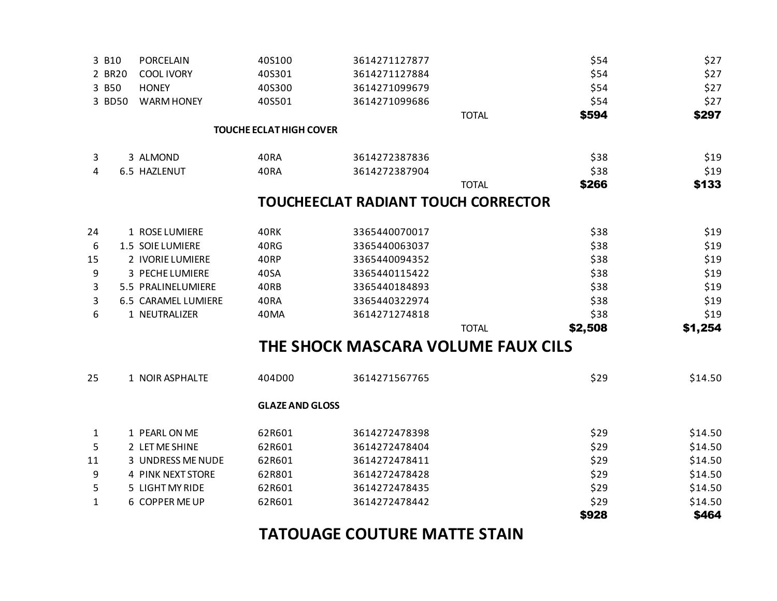## **TATOUAGE COUTURE MATTE STAIN**

| <b>COOL IVORY</b>                                                                                             | 40S301                                                                                                                                                                                                                                                                                                                 | 3614271127884                        |                                                                                            | \$54    | \$27                                                                                                                             |
|---------------------------------------------------------------------------------------------------------------|------------------------------------------------------------------------------------------------------------------------------------------------------------------------------------------------------------------------------------------------------------------------------------------------------------------------|--------------------------------------|--------------------------------------------------------------------------------------------|---------|----------------------------------------------------------------------------------------------------------------------------------|
| <b>HONEY</b>                                                                                                  | 40S300                                                                                                                                                                                                                                                                                                                 | 3614271099679                        |                                                                                            | \$54    | \$27                                                                                                                             |
| <b>WARM HONEY</b>                                                                                             | 40S501                                                                                                                                                                                                                                                                                                                 | 3614271099686                        |                                                                                            | \$54    | \$27                                                                                                                             |
|                                                                                                               |                                                                                                                                                                                                                                                                                                                        |                                      | <b>TOTAL</b>                                                                               | \$594   | \$297                                                                                                                            |
|                                                                                                               |                                                                                                                                                                                                                                                                                                                        |                                      |                                                                                            |         |                                                                                                                                  |
|                                                                                                               |                                                                                                                                                                                                                                                                                                                        |                                      |                                                                                            |         |                                                                                                                                  |
|                                                                                                               | 40RA                                                                                                                                                                                                                                                                                                                   | 3614272387836                        |                                                                                            | \$38    | \$19                                                                                                                             |
|                                                                                                               | 40RA                                                                                                                                                                                                                                                                                                                   | 3614272387904                        |                                                                                            | \$38    | \$19                                                                                                                             |
|                                                                                                               |                                                                                                                                                                                                                                                                                                                        |                                      | <b>TOTAL</b>                                                                               | \$266   | \$133                                                                                                                            |
|                                                                                                               |                                                                                                                                                                                                                                                                                                                        |                                      |                                                                                            |         |                                                                                                                                  |
|                                                                                                               |                                                                                                                                                                                                                                                                                                                        |                                      |                                                                                            |         |                                                                                                                                  |
|                                                                                                               | 40RK                                                                                                                                                                                                                                                                                                                   | 3365440070017                        |                                                                                            | \$38    | \$19                                                                                                                             |
|                                                                                                               | 40RG                                                                                                                                                                                                                                                                                                                   | 3365440063037                        |                                                                                            | \$38    | \$19                                                                                                                             |
|                                                                                                               | 40RP                                                                                                                                                                                                                                                                                                                   | 3365440094352                        |                                                                                            | \$38    | \$19                                                                                                                             |
|                                                                                                               | 40SA                                                                                                                                                                                                                                                                                                                   | 3365440115422                        |                                                                                            | \$38    | \$19                                                                                                                             |
|                                                                                                               | 40RB                                                                                                                                                                                                                                                                                                                   | 3365440184893                        |                                                                                            | \$38    | \$19                                                                                                                             |
|                                                                                                               | 40RA                                                                                                                                                                                                                                                                                                                   | 3365440322974                        |                                                                                            | \$38    | \$19                                                                                                                             |
|                                                                                                               | 40MA                                                                                                                                                                                                                                                                                                                   | 3614271274818                        |                                                                                            | \$38    | \$19                                                                                                                             |
|                                                                                                               |                                                                                                                                                                                                                                                                                                                        |                                      | <b>TOTAL</b>                                                                               | \$2,508 | \$1,254                                                                                                                          |
|                                                                                                               |                                                                                                                                                                                                                                                                                                                        |                                      |                                                                                            |         |                                                                                                                                  |
|                                                                                                               | 404D00                                                                                                                                                                                                                                                                                                                 | 3614271567765                        |                                                                                            | \$29    | \$14.50                                                                                                                          |
|                                                                                                               |                                                                                                                                                                                                                                                                                                                        |                                      |                                                                                            |         |                                                                                                                                  |
|                                                                                                               |                                                                                                                                                                                                                                                                                                                        |                                      |                                                                                            |         |                                                                                                                                  |
|                                                                                                               |                                                                                                                                                                                                                                                                                                                        |                                      |                                                                                            |         | \$14.50                                                                                                                          |
|                                                                                                               |                                                                                                                                                                                                                                                                                                                        |                                      |                                                                                            |         | \$14.50                                                                                                                          |
|                                                                                                               |                                                                                                                                                                                                                                                                                                                        | 3614272478411                        |                                                                                            |         | \$14.50                                                                                                                          |
|                                                                                                               | 62R801                                                                                                                                                                                                                                                                                                                 | 3614272478428                        |                                                                                            |         | \$14.50                                                                                                                          |
|                                                                                                               |                                                                                                                                                                                                                                                                                                                        | 3614272478435                        |                                                                                            |         | \$14.50                                                                                                                          |
|                                                                                                               | 62R601                                                                                                                                                                                                                                                                                                                 | 3614272478442                        |                                                                                            |         | \$14.50                                                                                                                          |
|                                                                                                               |                                                                                                                                                                                                                                                                                                                        |                                      |                                                                                            | \$928   | \$464                                                                                                                            |
| 2 BR20<br>3 B50<br>3 BD50<br>3<br>4<br>24<br>6<br>15<br>9<br>3<br>3<br>6<br>25<br>1<br>5<br>11<br>9<br>5<br>1 | 3 ALMOND<br>6.5 HAZLENUT<br>1 ROSE LUMIERE<br>1.5 SOIE LUMIERE<br>2 IVORIE LUMIERE<br>3 PECHE LUMIERE<br>5.5 PRALINELUMIERE<br><b>6.5 CARAMEL LUMIERE</b><br>1 NEUTRALIZER<br>1 NOIR ASPHALTE<br>1 PEARL ON ME<br>2 LET ME SHINE<br>3 UNDRESS ME NUDE<br><b>4 PINK NEXT STORE</b><br>5 LIGHT MY RIDE<br>6 COPPER ME UP | 62R601<br>62R601<br>62R601<br>62R601 | <b>TOUCHE ECLAT HIGH COVER</b><br><b>GLAZE AND GLOSS</b><br>3614272478398<br>3614272478404 |         | <b>TOUCHEECLAT RADIANT TOUCH CORRECTOR</b><br>THE SHOCK MASCARA VOLUME FAUX CILS<br>\$29<br>\$29<br>\$29<br>\$29<br>\$29<br>\$29 |

3 B10 PORCELAIN 40S100 3614271127877 \$54 \$27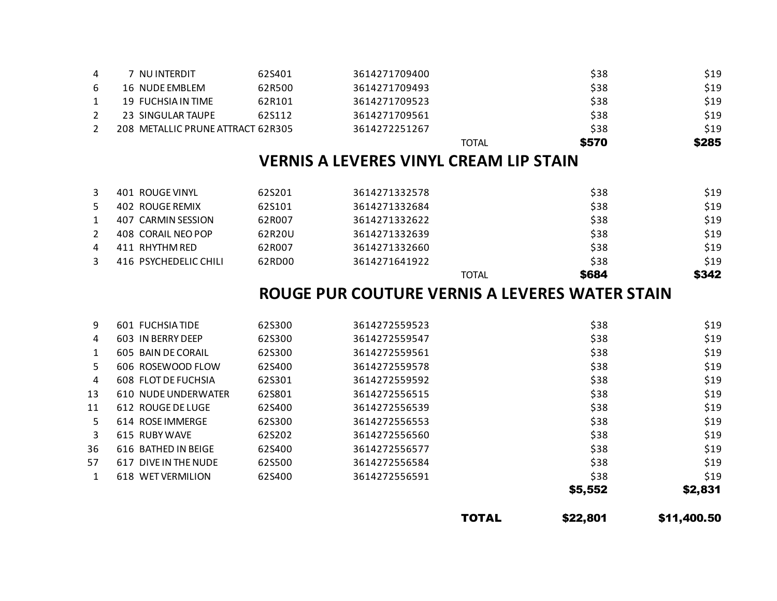|              |                             |        |               | <b>TOTAL</b> | \$22,801 | \$11,400.50 |
|--------------|-----------------------------|--------|---------------|--------------|----------|-------------|
|              |                             |        |               |              | \$5,552  | \$2,831     |
| $\mathbf{1}$ | <b>WET VERMILION</b><br>618 | 62S400 | 3614272556591 |              | \$38     | \$19        |
| 57           | 617 DIVE IN THE NUDE        | 62S500 | 3614272556584 |              | \$38     | \$19        |
| 36           | 616 BATHED IN BEIGE         | 62S400 | 3614272556577 |              | \$38     | \$19        |
| 3            | 615 RUBY WAVE               | 62S202 | 3614272556560 |              | \$38     | \$19        |
| 5.           | 614 ROSE IMMERGE            | 62S300 | 3614272556553 |              | \$38     | \$19        |
| 11           | 612 ROUGE DE LUGE           | 62S400 | 3614272556539 |              | \$38     | \$19        |
| 13           | 610 NUDE UNDERWATER         | 62S801 | 3614272556515 |              | \$38     | \$19        |
| 4            | 608 FLOT DE FUCHSIA         | 62S301 | 3614272559592 |              | \$38     | \$19        |
| 5.           | 606 ROSEWOOD FLOW           | 62S400 | 3614272559578 |              | \$38     | \$19        |
| $\mathbf{1}$ | 605 BAIN DE CORAIL          | 62S300 | 3614272559561 |              | \$38     | \$19        |
| 4            | 603 IN BERRY DEEP           | 62S300 | 3614272559547 |              | \$38     | \$19        |
| 9            | <b>601 FUCHSIATIDE</b>      | 62S300 | 3614272559523 |              | \$38     | \$19        |
|              |                             |        |               |              |          |             |

### **ROUGE PUR COUTURE VERNIS A LEVERES WATER STAIN**

|   | 401 ROUGE VINYL       | 62S201 | 3614271332578 |       | \$38  | \$19  |
|---|-----------------------|--------|---------------|-------|-------|-------|
|   | 402 ROUGE REMIX       | 62S101 | 3614271332684 |       | \$38  | \$19  |
|   | 407 CARMIN SESSION    | 62R007 | 3614271332622 |       | \$38  | \$19  |
|   | 408 CORAIL NEO POP    | 62R20U | 3614271332639 |       | \$38  | \$19  |
| 4 | 411 RHYTHM RED        | 62R007 | 3614271332660 |       | \$38  | \$19  |
|   | 416 PSYCHEDELIC CHILI | 62RD00 | 3614271641922 |       | \$38  | \$19  |
|   |                       |        |               | TOTAL | \$684 | \$342 |

### **VERNIS A LEVERES VINYL CREAM LIP STAIN**

|   |                                   |        | <b>TOTAL</b>  | \$570 | \$285 |
|---|-----------------------------------|--------|---------------|-------|-------|
|   | 208 METALLIC PRUNE ATTRACT 62R305 |        | 3614272251267 | \$38  | \$19  |
|   | 23 SINGULAR TAUPE                 | 62S112 | 3614271709561 | \$38  | \$19  |
|   | 19 FUCHSIA IN TIME                | 62R101 | 3614271709523 | \$38  | \$19  |
|   | 16 NUDE EMBLEM                    | 62R500 | 3614271709493 | \$38  | \$19  |
| 4 | NU INTERDIT                       | 62S401 | 3614271709400 | \$38  | \$19  |
|   |                                   |        |               |       |       |